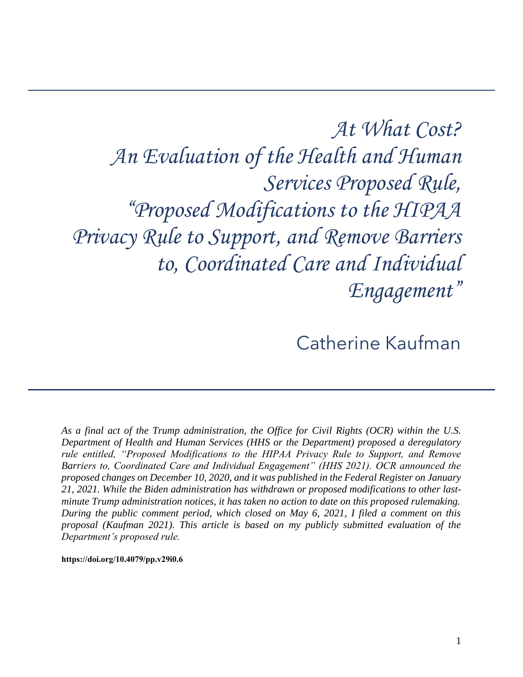*At What Cost? An Evaluation of the Health and Human Services Proposed Rule, "Proposed Modifications to the HIPAA Privacy Rule to Support, and Remove Barriers to, Coordinated Care and Individual Engagement"*

Catherine Kaufman

 *As a final act of the Trump administration, the Office for Civil Rights (OCR) within the U.S. rule entitled, "Proposed Modifications to the HIPAA Privacy Rule to Support, and Remove Department of Health and Human Services (HHS or the Department) proposed a deregulatory Barriers to, Coordinated Care and Individual Engagement" (HHS 2021). OCR announced the proposed changes on December 10, 2020, and it was published in the Federal Register on January 21, 2021. While the Biden administration has withdrawn or proposed modifications to other lastminute Trump administration notices, it has taken no action to date on this proposed rulemaking. During the public comment period, which closed on May 6, 2021, I filed a comment on this proposal (Kaufman 2021). This article is based on my publicly submitted evaluation of the Department's proposed rule.*

**[https://doi.org/10.4079/pp.v29i0.6](https://doi.org/10.4079/pp.v28i0.9)**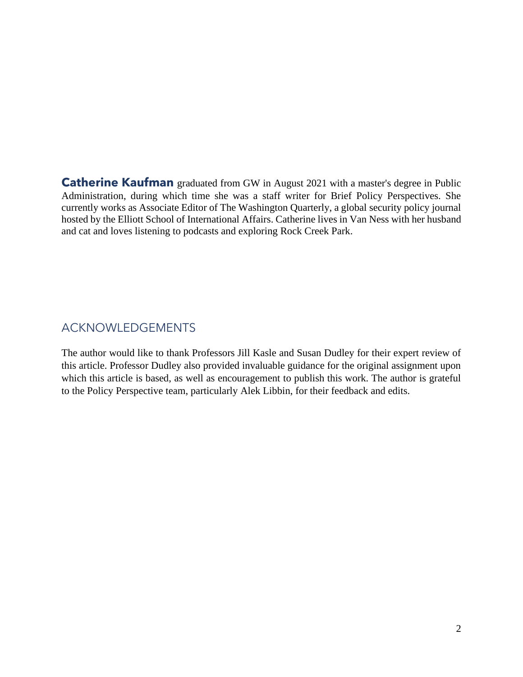**Catherine Kaufman** graduated from GW in August 2021 with a master's degree in Public Administration, during which time she was a staff writer for Brief Policy Perspectives. She currently works as Associate Editor of The Washington Quarterly, a global security policy journal hosted by the Elliott School of International Affairs. Catherine lives in Van Ness with her husband and cat and loves listening to podcasts and exploring Rock Creek Park.

# ACKNOWLEDGEMENTS

 The author would like to thank Professors Jill Kasle and Susan Dudley for their expert review of this article. Professor Dudley also provided invaluable guidance for the original assignment upon which this article is based, as well as encouragement to publish this work. The author is grateful to the Policy Perspective team, particularly Alek Libbin, for their feedback and edits.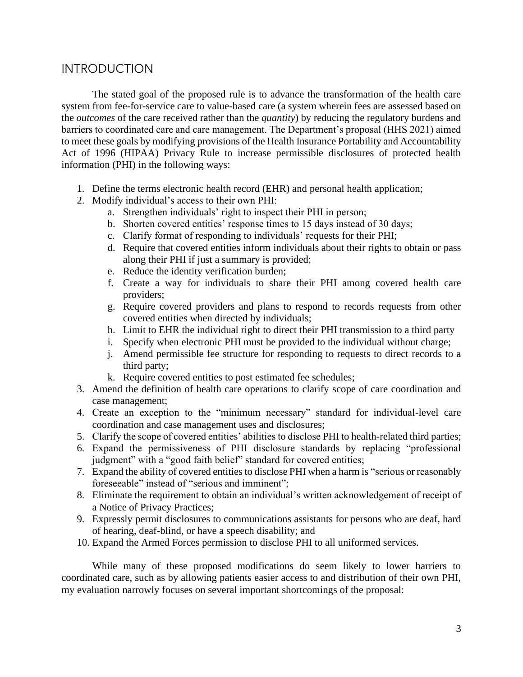## **INTRODUCTION**

 The stated goal of the proposed rule is to advance the transformation of the health care system from fee-for-service care to value-based care (a system wherein fees are assessed based on barriers to coordinated care and care management. The Department's proposal (HHS 2021) aimed Act of 1996 (HIPAA) Privacy Rule to increase permissible disclosures of protected health the *outcomes* of the care received rather than the *quantity*) by reducing the regulatory burdens and to meet these goals by modifying provisions of the Health Insurance Portability and Accountability information (PHI) in the following ways:

- 1. Define the terms electronic health record (EHR) and personal health application;
- 2. Modify individual's access to their own PHI:
	- a. Strengthen individuals' right to inspect their PHI in person;
	- b. Shorten covered entities' response times to 15 days instead of 30 days;
	- c. Clarify format of responding to individuals' requests for their PHI;
	- d. Require that covered entities inform individuals about their rights to obtain or pass along their PHI if just a summary is provided;
	- e. Reduce the identity verification burden;
	- f. Create a way for individuals to share their PHI among covered health care providers;
	- g. Require covered providers and plans to respond to records requests from other covered entities when directed by individuals;
	- h. Limit to EHR the individual right to direct their PHI transmission to a third party
	- i. Specify when electronic PHI must be provided to the individual without charge;
	- j. Amend permissible fee structure for responding to requests to direct records to a third party;
	- k. Require covered entities to post estimated fee schedules;
- 3. Amend the definition of health care operations to clarify scope of care coordination and case management;
- 4. Create an exception to the "minimum necessary" standard for individual-level care coordination and case management uses and disclosures;
- 5. Clarify the scope of covered entities' abilities to disclose PHI to health-related third parties;
- 6. Expand the permissiveness of PHI disclosure standards by replacing "professional judgment" with a "good faith belief" standard for covered entities;
- 7. Expand the ability of covered entities to disclose PHI when a harm is "serious or reasonably foreseeable" instead of "serious and imminent";
- 8. Eliminate the requirement to obtain an individual's written acknowledgement of receipt of a Notice of Privacy Practices;
- 9. Expressly permit disclosures to communications assistants for persons who are deaf, hard of hearing, deaf-blind, or have a speech disability; and
- 10. Expand the Armed Forces permission to disclose PHI to all uniformed services.

While many of these proposed modifications do seem likely to lower barriers to coordinated care, such as by allowing patients easier access to and distribution of their own PHI, my evaluation narrowly focuses on several important shortcomings of the proposal: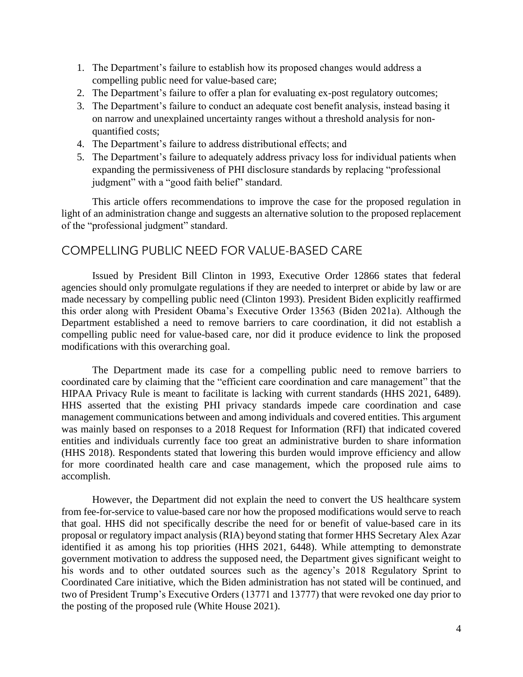- 1. The Department's failure to establish how its proposed changes would address a compelling public need for value-based care;
- 2. The Department's failure to offer a plan for evaluating ex-post regulatory outcomes;
- 3. The Department's failure to conduct an adequate cost benefit analysis, instead basing it on narrow and unexplained uncertainty ranges without a threshold analysis for nonquantified costs;
- 4. The Department's failure to address distributional effects; and
- 5. The Department's failure to adequately address privacy loss for individual patients when expanding the permissiveness of PHI disclosure standards by replacing "professional judgment" with a "good faith belief" standard.

 This article offers recommendations to improve the case for the proposed regulation in light of an administration change and suggests an alternative solution to the proposed replacement of the "professional judgment" standard.

## COMPELLING PUBLIC NEED FOR VALUE-BASED CARE

 compelling public need for value-based care, nor did it produce evidence to link the proposed Issued by President Bill Clinton in 1993, Executive Order 12866 states that federal agencies should only promulgate regulations if they are needed to interpret or abide by law or are made necessary by compelling public need (Clinton 1993). President Biden explicitly reaffirmed this order along with President Obama's Executive Order 13563 (Biden 2021a). Although the Department established a need to remove barriers to care coordination, it did not establish a modifications with this overarching goal.

 The Department made its case for a compelling public need to remove barriers to HHS asserted that the existing PHI privacy standards impede care coordination and case (HHS 2018). Respondents stated that lowering this burden would improve efficiency and allow for more coordinated health care and case management, which the proposed rule aims to coordinated care by claiming that the "efficient care coordination and care management" that the HIPAA Privacy Rule is meant to facilitate is lacking with current standards (HHS 2021, 6489). management communications between and among individuals and covered entities. This argument was mainly based on responses to a 2018 Request for Information (RFI) that indicated covered entities and individuals currently face too great an administrative burden to share information accomplish.

 However, the Department did not explain the need to convert the US healthcare system from fee-for-service to value-based care nor how the proposed modifications would serve to reach that goal. HHS did not specifically describe the need for or benefit of value-based care in its proposal or regulatory impact analysis (RIA) beyond stating that former HHS Secretary Alex Azar Coordinated Care initiative, which the Biden administration has not stated will be continued, and two of President Trump's Executive Orders (13771 and 13777) that were revoked one day prior to identified it as among his top priorities (HHS 2021, 6448). While attempting to demonstrate government motivation to address the supposed need, the Department gives significant weight to his words and to other outdated sources such as the agency's 2018 Regulatory Sprint to the posting of the proposed rule (White House 2021).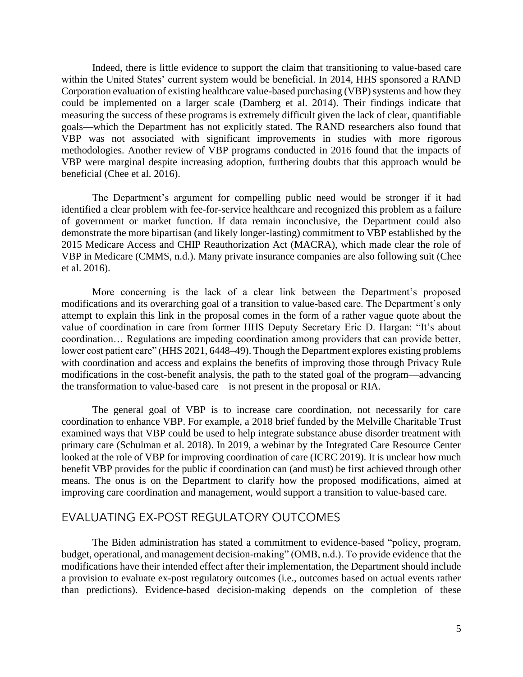within the United States' current system would be beneficial. In 2014, HHS sponsored a RAND could be implemented on a larger scale (Damberg et al. 2014). Their findings indicate that VBP was not associated with significant improvements in studies with more rigorous methodologies. Another review of VBP programs conducted in 2016 found that the impacts of VBP were marginal despite increasing adoption, furthering doubts that this approach would be Indeed, there is little evidence to support the claim that transitioning to value-based care Corporation evaluation of existing healthcare value-based purchasing (VBP) systems and how they measuring the success of these programs is extremely difficult given the lack of clear, quantifiable goals—which the Department has not explicitly stated. The RAND researchers also found that beneficial (Chee et al. 2016).

 The Department's argument for compelling public need would be stronger if it had VBP in Medicare (CMMS, n.d.). Many private insurance companies are also following suit (Chee identified a clear problem with fee-for-service healthcare and recognized this problem as a failure of government or market function. If data remain inconclusive, the Department could also demonstrate the more bipartisan (and likely longer-lasting) commitment to VBP established by the 2015 Medicare Access and CHIP Reauthorization Act (MACRA), which made clear the role of et al. 2016).

 More concerning is the lack of a clear link between the Department's proposed attempt to explain this link in the proposal comes in the form of a rather vague quote about the coordination… Regulations are impeding coordination among providers that can provide better, modifications and its overarching goal of a transition to value-based care. The Department's only value of coordination in care from former HHS Deputy Secretary Eric D. Hargan: "It's about lower cost patient care" (HHS 2021, 6448–49). Though the Department explores existing problems with coordination and access and explains the benefits of improving those through Privacy Rule modifications in the cost-benefit analysis, the path to the stated goal of the program—advancing the transformation to value-based care—is not present in the proposal or RIA.

 The general goal of VBP is to increase care coordination, not necessarily for care coordination to enhance VBP. For example, a 2018 brief funded by the Melville Charitable Trust examined ways that VBP could be used to help integrate substance abuse disorder treatment with primary care (Schulman et al. 2018). In 2019, a webinar by the Integrated Care Resource Center looked at the role of VBP for improving coordination of care (ICRC 2019). It is unclear how much benefit VBP provides for the public if coordination can (and must) be first achieved through other means. The onus is on the Department to clarify how the proposed modifications, aimed at improving care coordination and management, would support a transition to value-based care.

### EVALUATING EX-POST REGULATORY OUTCOMES

 The Biden administration has stated a commitment to evidence-based "policy, program, budget, operational, and management decision-making" (OMB, n.d.). To provide evidence that the modifications have their intended effect after their implementation, the Department should include a provision to evaluate ex-post regulatory outcomes (i.e., outcomes based on actual events rather than predictions). Evidence-based decision-making depends on the completion of these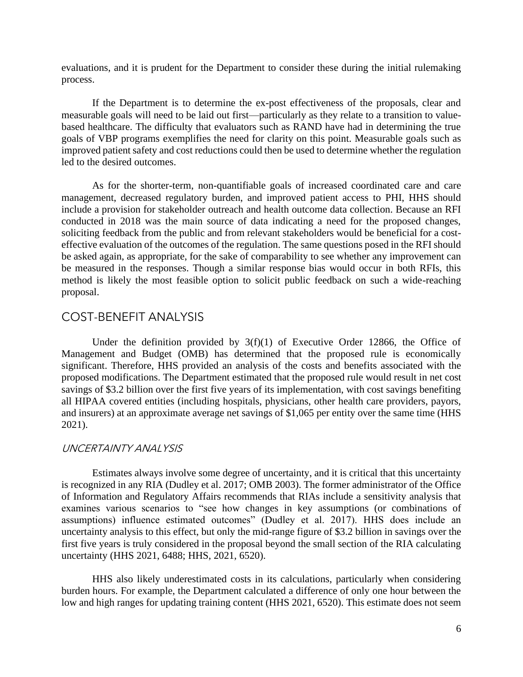evaluations, and it is prudent for the Department to consider these during the initial rulemaking process.

 measurable goals will need to be laid out first—particularly as they relate to a transition to value- based healthcare. The difficulty that evaluators such as RAND have had in determining the true improved patient safety and cost reductions could then be used to determine whether the regulation If the Department is to determine the ex-post effectiveness of the proposals, clear and goals of VBP programs exemplifies the need for clarity on this point. Measurable goals such as led to the desired outcomes.

 As for the shorter-term, non-quantifiable goals of increased coordinated care and care include a provision for stakeholder outreach and health outcome data collection. Because an RFI conducted in 2018 was the main source of data indicating a need for the proposed changes, be measured in the responses. Though a similar response bias would occur in both RFIs, this method is likely the most feasible option to solicit public feedback on such a wide-reaching management, decreased regulatory burden, and improved patient access to PHI, HHS should soliciting feedback from the public and from relevant stakeholders would be beneficial for a costeffective evaluation of the outcomes of the regulation. The same questions posed in the RFI should be asked again, as appropriate, for the sake of comparability to see whether any improvement can proposal.

### COST-BENEFIT ANALYSIS

Under the definition provided by  $3(f)(1)$  of Executive Order 12866, the Office of significant. Therefore, HHS provided an analysis of the costs and benefits associated with the all HIPAA covered entities (including hospitals, physicians, other health care providers, payors, and insurers) at an approximate average net savings of \$1,065 per entity over the same time (HHS Management and Budget (OMB) has determined that the proposed rule is economically proposed modifications. The Department estimated that the proposed rule would result in net cost savings of \$3.2 billion over the first five years of its implementation, with cost savings benefiting 2021).

#### UNCERTAINTY ANALYSIS

 Estimates always involve some degree of uncertainty, and it is critical that this uncertainty is recognized in any RIA (Dudley et al. 2017; OMB 2003). The former administrator of the Office examines various scenarios to "see how changes in key assumptions (or combinations of uncertainty analysis to this effect, but only the mid-range figure of \$3.2 billion in savings over the of Information and Regulatory Affairs recommends that RIAs include a sensitivity analysis that assumptions) influence estimated outcomes" (Dudley et al. 2017). HHS does include an first five years is truly considered in the proposal beyond the small section of the RIA calculating uncertainty (HHS 2021, 6488; HHS, 2021, 6520).

 burden hours. For example, the Department calculated a difference of only one hour between the low and high ranges for updating training content (HHS 2021, 6520). This estimate does not seem HHS also likely underestimated costs in its calculations, particularly when considering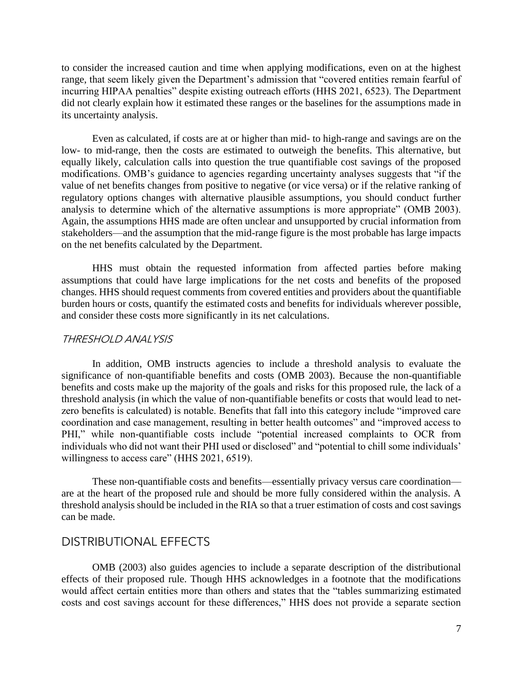to consider the increased caution and time when applying modifications, even on at the highest range, that seem likely given the Department's admission that "covered entities remain fearful of incurring HIPAA penalties" despite existing outreach efforts (HHS 2021, 6523). The Department did not clearly explain how it estimated these ranges or the baselines for the assumptions made in its uncertainty analysis.

 low- to mid-range, then the costs are estimated to outweigh the benefits. This alternative, but equally likely, calculation calls into question the true quantifiable cost savings of the proposed modifications. OMB's guidance to agencies regarding uncertainty analyses suggests that "if the regulatory options changes with alternative plausible assumptions, you should conduct further analysis to determine which of the alternative assumptions is more appropriate" (OMB 2003). Again, the assumptions HHS made are often unclear and unsupported by crucial information from stakeholders—and the assumption that the mid-range figure is the most probable has large impacts Even as calculated, if costs are at or higher than mid- to high-range and savings are on the value of net benefits changes from positive to negative (or vice versa) or if the relative ranking of on the net benefits calculated by the Department.

 HHS must obtain the requested information from affected parties before making assumptions that could have large implications for the net costs and benefits of the proposed changes. HHS should request comments from covered entities and providers about the quantifiable burden hours or costs, quantify the estimated costs and benefits for individuals wherever possible, and consider these costs more significantly in its net calculations.

#### THRESHOLD ANALYSIS

 In addition, OMB instructs agencies to include a threshold analysis to evaluate the significance of non-quantifiable benefits and costs (OMB 2003). Because the non-quantifiable benefits and costs make up the majority of the goals and risks for this proposed rule, the lack of a individuals who did not want their PHI used or disclosed" and "potential to chill some individuals' threshold analysis (in which the value of non-quantifiable benefits or costs that would lead to netzero benefits is calculated) is notable. Benefits that fall into this category include "improved care coordination and case management, resulting in better health outcomes" and "improved access to PHI," while non-quantifiable costs include "potential increased complaints to OCR from willingness to access care" (HHS 2021, 6519).

 are at the heart of the proposed rule and should be more fully considered within the analysis. A These non-quantifiable costs and benefits—essentially privacy versus care coordination threshold analysis should be included in the RIA so that a truer estimation of costs and cost savings can be made.

#### DISTRIBUTIONAL EFFECTS

 OMB (2003) also guides agencies to include a separate description of the distributional effects of their proposed rule. Though HHS acknowledges in a footnote that the modifications would affect certain entities more than others and states that the "tables summarizing estimated costs and cost savings account for these differences," HHS does not provide a separate section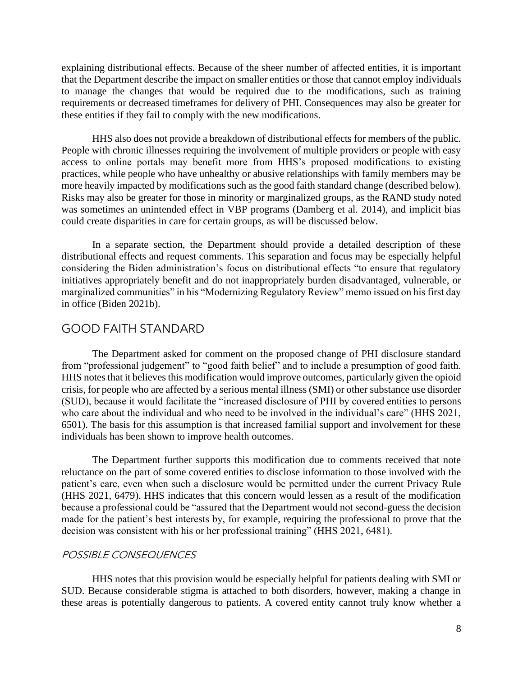requirements or decreased timeframes for delivery of PHI. Consequences may also be greater for explaining distributional effects. Because of the sheer number of affected entities, it is important that the Department describe the impact on smaller entities or those that cannot employ individuals to manage the changes that would be required due to the modifications, such as training these entities if they fail to comply with the new modifications.

 HHS also does not provide a breakdown of distributional effects for members of the public. was sometimes an unintended effect in VBP programs (Damberg et al. 2014), and implicit bias People with chronic illnesses requiring the involvement of multiple providers or people with easy access to online portals may benefit more from HHS's proposed modifications to existing practices, while people who have unhealthy or abusive relationships with family members may be more heavily impacted by modifications such as the good faith standard change (described below). Risks may also be greater for those in minority or marginalized groups, as the RAND study noted could create disparities in care for certain groups, as will be discussed below.

 In a separate section, the Department should provide a detailed description of these marginalized communities" in his "Modernizing Regulatory Review" memo issued on his first day distributional effects and request comments. This separation and focus may be especially helpful considering the Biden administration's focus on distributional effects "to ensure that regulatory initiatives appropriately benefit and do not inappropriately burden disadvantaged, vulnerable, or in office (Biden 2021b).

### GOOD FAITH STANDARD

 The Department asked for comment on the proposed change of PHI disclosure standard from "professional judgement" to "good faith belief" and to include a presumption of good faith. HHS notes that it believes this modification would improve outcomes, particularly given the opioid crisis, for people who are affected by a serious mental illness (SMI) or other substance use disorder who care about the individual and who need to be involved in the individual's care" (HHS 2021, 6501). The basis for this assumption is that increased familial support and involvement for these (SUD), because it would facilitate the "increased disclosure of PHI by covered entities to persons individuals has been shown to improve health outcomes.

 The Department further supports this modification due to comments received that note patient's care, even when such a disclosure would be permitted under the current Privacy Rule (HHS 2021, 6479). HHS indicates that this concern would lessen as a result of the modification because a professional could be "assured that the Department would not second-guess the decision made for the patient's best interests by, for example, requiring the professional to prove that the reluctance on the part of some covered entities to disclose information to those involved with the decision was consistent with his or her professional training" (HHS 2021, 6481).

#### POSSIBLE CONSEQUENCES

 SUD. Because considerable stigma is attached to both disorders, however, making a change in these areas is potentially dangerous to patients. A covered entity cannot truly know whether a HHS notes that this provision would be especially helpful for patients dealing with SMI or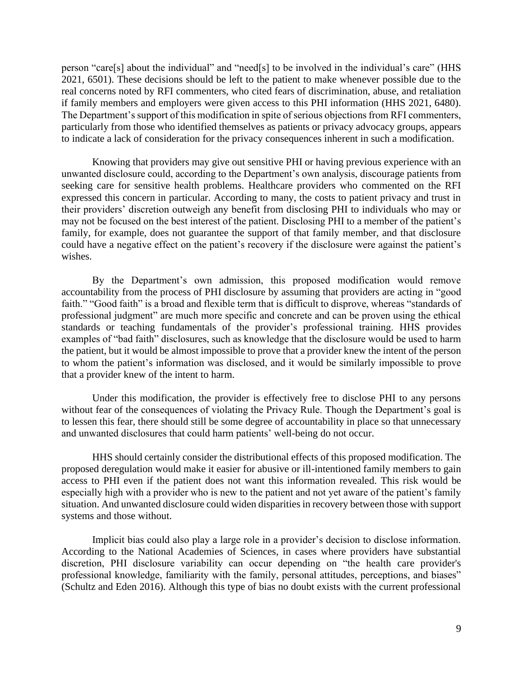person "care[s] about the individual" and "need[s] to be involved in the individual's care" (HHS 2021, 6501). These decisions should be left to the patient to make whenever possible due to the real concerns noted by RFI commenters, who cited fears of discrimination, abuse, and retaliation if family members and employers were given access to this PHI information (HHS 2021, 6480). The Department's support of this modification in spite of serious objections from RFI commenters, particularly from those who identified themselves as patients or privacy advocacy groups, appears to indicate a lack of consideration for the privacy consequences inherent in such a modification.

 Knowing that providers may give out sensitive PHI or having previous experience with an expressed this concern in particular. According to many, the costs to patient privacy and trust in may not be focused on the best interest of the patient. Disclosing PHI to a member of the patient's could have a negative effect on the patient's recovery if the disclosure were against the patient's unwanted disclosure could, according to the Department's own analysis, discourage patients from seeking care for sensitive health problems. Healthcare providers who commented on the RFI their providers' discretion outweigh any benefit from disclosing PHI to individuals who may or family, for example, does not guarantee the support of that family member, and that disclosure wishes.

 accountability from the process of PHI disclosure by assuming that providers are acting in "good faith." "Good faith" is a broad and flexible term that is difficult to disprove, whereas "standards of professional judgment" are much more specific and concrete and can be proven using the ethical standards or teaching fundamentals of the provider's professional training. HHS provides the patient, but it would be almost impossible to prove that a provider knew the intent of the person to whom the patient's information was disclosed, and it would be similarly impossible to prove By the Department's own admission, this proposed modification would remove examples of "bad faith" disclosures, such as knowledge that the disclosure would be used to harm that a provider knew of the intent to harm.

Under this modification, the provider is effectively free to disclose PHI to any persons without fear of the consequences of violating the Privacy Rule. Though the Department's goal is to lessen this fear, there should still be some degree of accountability in place so that unnecessary and unwanted disclosures that could harm patients' well-being do not occur.

 proposed deregulation would make it easier for abusive or ill-intentioned family members to gain access to PHI even if the patient does not want this information revealed. This risk would be especially high with a provider who is new to the patient and not yet aware of the patient's family HHS should certainly consider the distributional effects of this proposed modification. The situation. And unwanted disclosure could widen disparities in recovery between those with support systems and those without.

 Implicit bias could also play a large role in a provider's decision to disclose information. According to the National Academies of Sciences, in cases where providers have substantial discretion, PHI disclosure variability can occur depending on "the health care provider's (Schultz and Eden 2016). Although this type of bias no doubt exists with the current professional professional knowledge, familiarity with the family, personal attitudes, perceptions, and biases"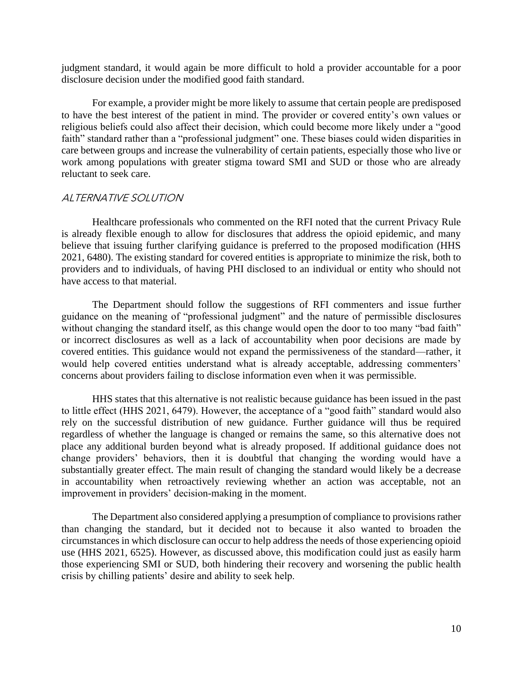judgment standard, it would again be more difficult to hold a provider accountable for a poor disclosure decision under the modified good faith standard.

 For example, a provider might be more likely to assume that certain people are predisposed religious beliefs could also affect their decision, which could become more likely under a "good care between groups and increase the vulnerability of certain patients, especially those who live or work among populations with greater stigma toward SMI and SUD or those who are already to have the best interest of the patient in mind. The provider or covered entity's own values or faith" standard rather than a "professional judgment" one. These biases could widen disparities in reluctant to seek care.

#### ALTERNATIVE SOLUTION

 Healthcare professionals who commented on the RFI noted that the current Privacy Rule is already flexible enough to allow for disclosures that address the opioid epidemic, and many believe that issuing further clarifying guidance is preferred to the proposed modification (HHS 2021, 6480). The existing standard for covered entities is appropriate to minimize the risk, both to providers and to individuals, of having PHI disclosed to an individual or entity who should not have access to that material.

 The Department should follow the suggestions of RFI commenters and issue further guidance on the meaning of "professional judgment" and the nature of permissible disclosures without changing the standard itself, as this change would open the door to too many "bad faith" or incorrect disclosures as well as a lack of accountability when poor decisions are made by would help covered entities understand what is already acceptable, addressing commenters' covered entities. This guidance would not expand the permissiveness of the standard—rather, it concerns about providers failing to disclose information even when it was permissible.

 HHS states that this alternative is not realistic because guidance has been issued in the past to little effect (HHS 2021, 6479). However, the acceptance of a "good faith" standard would also rely on the successful distribution of new guidance. Further guidance will thus be required regardless of whether the language is changed or remains the same, so this alternative does not place any additional burden beyond what is already proposed. If additional guidance does not change providers' behaviors, then it is doubtful that changing the wording would have a substantially greater effect. The main result of changing the standard would likely be a decrease in accountability when retroactively reviewing whether an action was acceptable, not an improvement in providers' decision-making in the moment.

 The Department also considered applying a presumption of compliance to provisions rather than changing the standard, but it decided not to because it also wanted to broaden the use (HHS 2021, 6525). However, as discussed above, this modification could just as easily harm circumstances in which disclosure can occur to help address the needs of those experiencing opioid those experiencing SMI or SUD, both hindering their recovery and worsening the public health crisis by chilling patients' desire and ability to seek help.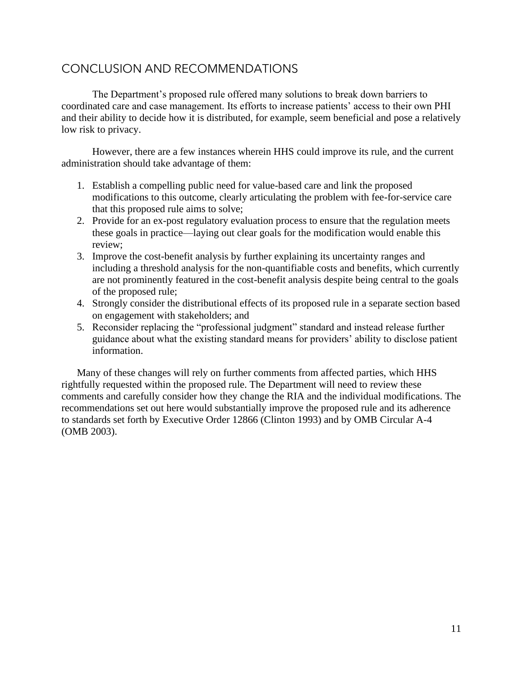# CONCLUSION AND RECOMMENDATIONS

The Department's proposed rule offered many solutions to break down barriers to coordinated care and case management. Its efforts to increase patients' access to their own PHI and their ability to decide how it is distributed, for example, seem beneficial and pose a relatively low risk to privacy.

 However, there are a few instances wherein HHS could improve its rule, and the current administration should take advantage of them:

- modifications to this outcome, clearly articulating the problem with fee-for-service care 1. Establish a compelling public need for value-based care and link the proposed that this proposed rule aims to solve;
- 2. Provide for an ex-post regulatory evaluation process to ensure that the regulation meets these goals in practice—laying out clear goals for the modification would enable this review;
- 3. Improve the cost-benefit analysis by further explaining its uncertainty ranges and including a threshold analysis for the non-quantifiable costs and benefits, which currently are not prominently featured in the cost-benefit analysis despite being central to the goals of the proposed rule;
- 4. Strongly consider the distributional effects of its proposed rule in a separate section based on engagement with stakeholders; and
- 5. Reconsider replacing the "professional judgment" standard and instead release further guidance about what the existing standard means for providers' ability to disclose patient information.

Many of these changes will rely on further comments from affected parties, which HHS rightfully requested within the proposed rule. The Department will need to review these comments and carefully consider how they change the RIA and the individual modifications. The recommendations set out here would substantially improve the proposed rule and its adherence to standards set forth by Executive Order 12866 (Clinton 1993) and by OMB Circular A-4 (OMB 2003).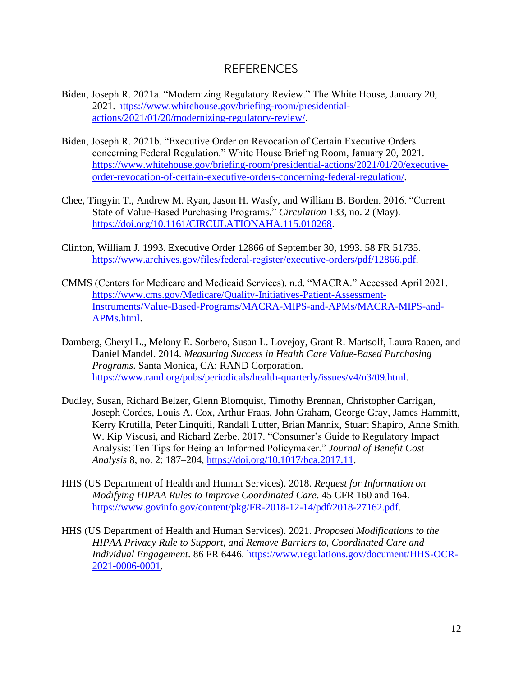## REFERENCES

- Biden, Joseph R. 2021a. "Modernizing Regulatory Review." The White House, January 20, 2021. [https://www.whitehouse.gov/briefing-room/presidential](https://www.whitehouse.gov/briefing-room/presidential-actions/2021/01/20/modernizing-regulatory-review/)[actions/2021/01/20/modernizing-regulatory-review/.](https://www.whitehouse.gov/briefing-room/presidential-actions/2021/01/20/modernizing-regulatory-review/)
- Biden, Joseph R. 2021b. "Executive Order on Revocation of Certain Executive Orders concerning Federal Regulation." White House Briefing Room, January 20, 2021. [https://www.whitehouse.gov/briefing-room/presidential-actions/2021/01/20/executive](https://www.whitehouse.gov/briefing-room/presidential-actions/2021/01/20/executive-order-revocation-of-certain-executive-orders-concerning-federal-regulation/)[order-revocation-of-certain-executive-orders-concerning-federal-regulation/.](https://www.whitehouse.gov/briefing-room/presidential-actions/2021/01/20/executive-order-revocation-of-certain-executive-orders-concerning-federal-regulation/)
- Chee, Tingyin T., Andrew M. Ryan, Jason H. Wasfy, and William B. Borden. 2016. "Current State of Value-Based Purchasing Programs." *Circulation* 133, no. 2 (May). [https://doi.org/10.1161/CIRCULATIONAHA.115.010268.](https://doi.org/10.1161/CIRCULATIONAHA.115.010268)
- Clinton, William J. 1993. Executive Order 12866 of September 30, 1993. 58 FR 51735. [https://www.archives.gov/files/federal-register/executive-orders/pdf/12866.pdf.](https://www.archives.gov/files/federal-register/executive-orders/pdf/12866.pdf)
- CMMS (Centers for Medicare and Medicaid Services). n.d. "MACRA." Accessed April 2021. [https://www.cms.gov/Medicare/Quality-Initiatives-Patient-Assessment-](https://www.cms.gov/Medicare/Quality-Initiatives-Patient-Assessment-Instruments/Value-Based-Programs/MACRA-MIPS-and-APMs/MACRA-MIPS-and-APMs.html)[Instruments/Value-Based-Programs/MACRA-MIPS-and-APMs/MACRA-MIPS-and-](https://www.cms.gov/Medicare/Quality-Initiatives-Patient-Assessment-Instruments/Value-Based-Programs/MACRA-MIPS-and-APMs/MACRA-MIPS-and-APMs.html)[APMs.html.](https://www.cms.gov/Medicare/Quality-Initiatives-Patient-Assessment-Instruments/Value-Based-Programs/MACRA-MIPS-and-APMs/MACRA-MIPS-and-APMs.html)
- Damberg, Cheryl L., Melony E. Sorbero, Susan L. Lovejoy, Grant R. Martsolf, Laura Raaen, and Daniel Mandel. 2014. *Measuring Success in Health Care Value-Based Purchasing Programs*. Santa Monica, CA: RAND Corporation. [https://www.rand.org/pubs/periodicals/health-quarterly/issues/v4/n3/09.html.](https://www.rand.org/pubs/periodicals/health-quarterly/issues/v4/n3/09.html)
- Dudley, Susan, Richard Belzer, Glenn Blomquist, Timothy Brennan, Christopher Carrigan, Joseph Cordes, Louis A. Cox, Arthur Fraas, John Graham, George Gray, James Hammitt, Kerry Krutilla, Peter Linquiti, Randall Lutter, Brian Mannix, Stuart Shapiro, Anne Smith, W. Kip Viscusi, and Richard Zerbe. 2017. "Consumer's Guide to Regulatory Impact Analysis: Ten Tips for Being an Informed Policymaker." *Journal of Benefit Cost Analysis* 8, no. 2: 187–204, [https://doi.org/10.1017/bca.2017.11.](https://doi.org/10.1017/bca.2017.11)
- HHS (US Department of Health and Human Services). 2018. *Request for Information on Modifying HIPAA Rules to Improve Coordinated Care*. 45 CFR 160 and 164. [https://www.govinfo.gov/content/pkg/FR-2018-12-14/pdf/2018-27162.pdf.](https://www.govinfo.gov/content/pkg/FR-2018-12-14/pdf/2018-27162.pdf)
- HHS (US Department of Health and Human Services). 2021. *Proposed Modifications to the HIPAA Privacy Rule to Support, and Remove Barriers to, Coordinated Care and Individual Engagement*. 86 FR 6446. [https://www.regulations.gov/document/HHS-OCR-](https://www.regulations.gov/document/HHS-OCR-2021-0006-0001)[2021-0006-0001.](https://www.regulations.gov/document/HHS-OCR-2021-0006-0001)